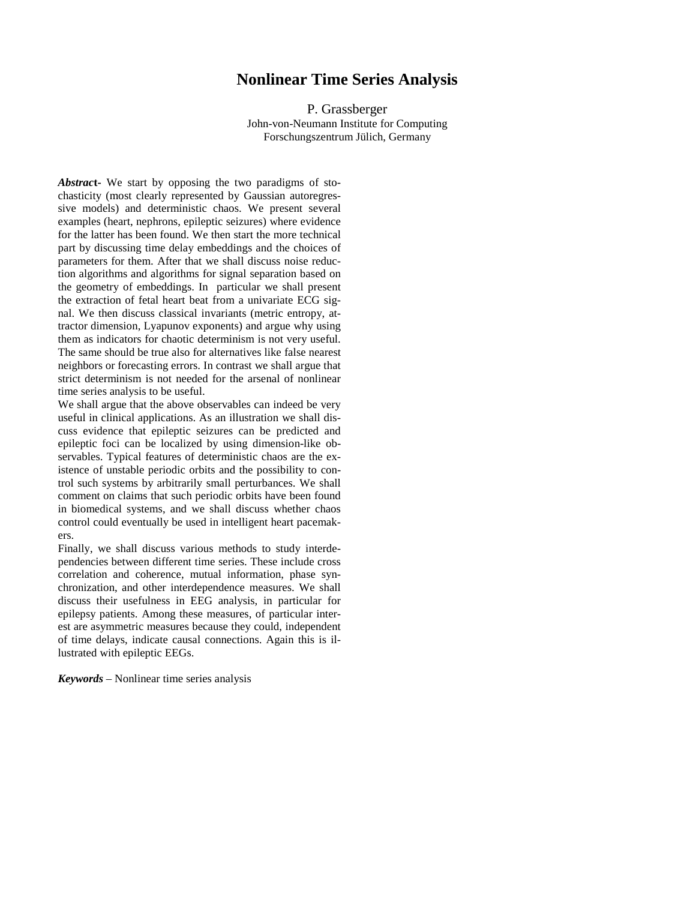## **Nonlinear Time Series Analysis**

P. Grassberger John-von-Neumann Institute for Computing Forschungszentrum Jülich, Germany

*Abstrac***t-** We start by opposing the two paradigms of stochasticity (most clearly represented by Gaussian autoregressive models) and deterministic chaos. We present several examples (heart, nephrons, epileptic seizures) where evidence for the latter has been found. We then start the more technical part by discussing time delay embeddings and the choices of parameters for them. After that we shall discuss noise reduction algorithms and algorithms for signal separation based on the geometry of embeddings. In particular we shall present the extraction of fetal heart beat from a univariate ECG signal. We then discuss classical invariants (metric entropy, attractor dimension, Lyapunov exponents) and argue why using them as indicators for chaotic determinism is not very useful. The same should be true also for alternatives like false nearest neighbors or forecasting errors. In contrast we shall argue that strict determinism is not needed for the arsenal of nonlinear time series analysis to be useful.

We shall argue that the above observables can indeed be very useful in clinical applications. As an illustration we shall discuss evidence that epileptic seizures can be predicted and epileptic foci can be localized by using dimension-like observables. Typical features of deterministic chaos are the existence of unstable periodic orbits and the possibility to control such systems by arbitrarily small perturbances. We shall comment on claims that such periodic orbits have been found in biomedical systems, and we shall discuss whether chaos control could eventually be used in intelligent heart pacemakers.

Finally, we shall discuss various methods to study interdependencies between different time series. These include cross correlation and coherence, mutual information, phase synchronization, and other interdependence measures. We shall discuss their usefulness in EEG analysis, in particular for epilepsy patients. Among these measures, of particular interest are asymmetric measures because they could, independent of time delays, indicate causal connections. Again this is illustrated with epileptic EEGs.

*Keywords –* Nonlinear time series analysis